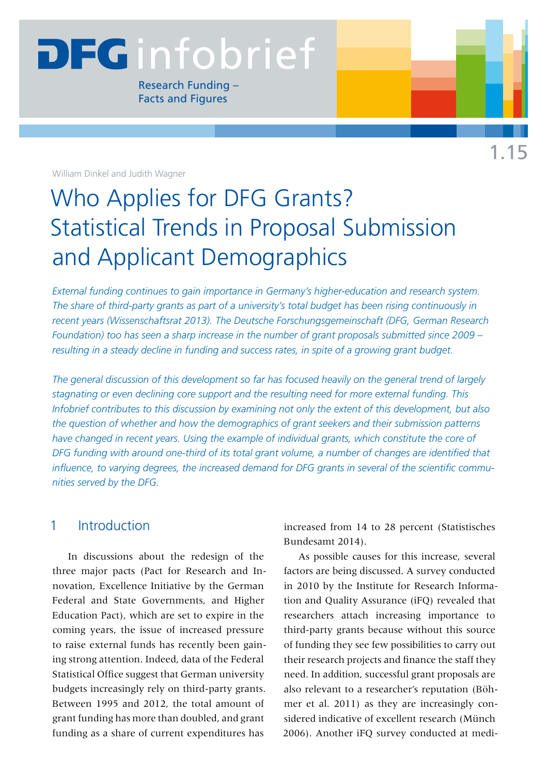# **DEGi**nfobrief

Research Funding – Facts and Figures

William Dinkel and Judith Wagner

# Who Applies for DFG Grants? Statistical Trends in Proposal Submission and Applicant Demographics

*External funding continues to gain importance in Germany's higher-education and research system. The share of third-party grants as part of a university's total budget has been rising continuously in recent years (Wissenschaftsrat 2013). The Deutsche Forschungsgemeinschaft (DFG, German Research Foundation) too has seen a sharp increase in the number of grant proposals submitted since 2009 – resulting in a steady decline in funding and success rates, in spite of a growing grant budget.* 

*The general discussion of this development so far has focused heavily on the general trend of largely stagnating or even declining core support and the resulting need for more external funding. This Infobrief contributes to this discussion by examining not only the extent of this development, but also the question of whether and how the demographics of grant seekers and their submission patterns have changed in recent years. Using the example of individual grants, which constitute the core of DFG funding with around one-third of its total grant volume, a number of changes are identified that influence, to varying degrees, the increased demand for DFG grants in several of the scientific communities served by the DFG.*

# 1 Introduction

In discussions about the redesign of the three major pacts (Pact for Research and Innovation, Excellence Initiative by the German Federal and State Governments, and Higher Education Pact), which are set to expire in the coming years, the issue of increased pressure to raise external funds has recently been gaining strong attention. Indeed, data of the Federal Statistical Office suggest that German university budgets increasingly rely on third-party grants. Between 1995 and 2012, the total amount of grant funding has more than doubled, and grant funding as a share of current expenditures has

increased from 14 to 28 percent (Statistisches Bundesamt 2014).

As possible causes for this increase, several factors are being discussed. A survey conducted in 2010 by the Institute for Research Information and Quality Assurance (iFQ) revealed that researchers attach increasing importance to third-party grants because without this source of funding they see few possibilities to carry out their research projects and finance the staff they need. In addition, successful grant proposals are also relevant to a researcher's reputation (Böhmer et al. 2011) as they are increasingly considered indicative of excellent research (Münch 2006). Another iFQ survey conducted at medi-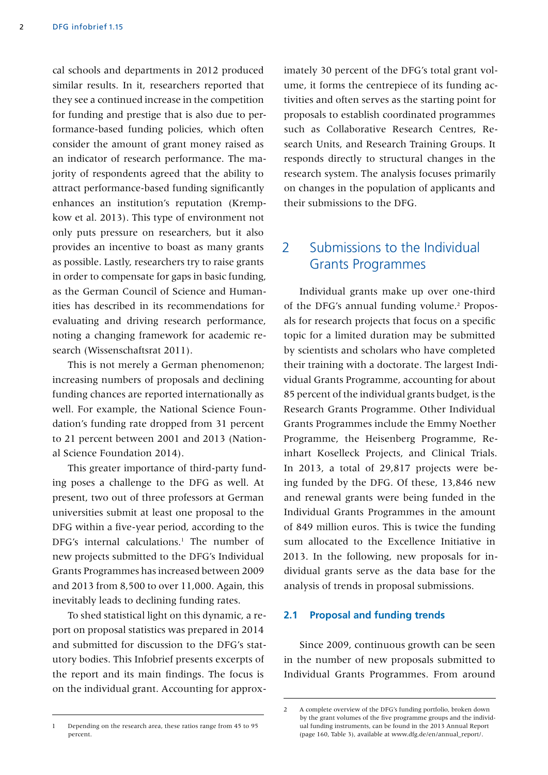cal schools and departments in 2012 produced similar results. In it, researchers reported that they see a continued increase in the competition for funding and prestige that is also due to performance-based funding policies, which often consider the amount of grant money raised as an indicator of research performance. The majority of respondents agreed that the ability to attract performance-based funding significantly enhances an institution's reputation (Krempkow et al. 2013). This type of environment not only puts pressure on researchers, but it also provides an incentive to boast as many grants as possible. Lastly, researchers try to raise grants in order to compensate for gaps in basic funding, as the German Council of Science and Humanities has described in its recommendations for evaluating and driving research performance, noting a changing framework for academic research (Wissenschaftsrat 2011).

This is not merely a German phenomenon; increasing numbers of proposals and declining funding chances are reported internationally as well. For example, the National Science Foundation's funding rate dropped from 31 percent to 21 percent between 2001 and 2013 (National Science Foundation 2014).

This greater importance of third-party funding poses a challenge to the DFG as well. At present, two out of three professors at German universities submit at least one proposal to the DFG within a five-year period, according to the DFG's internal calculations.<sup>1</sup> The number of new projects submitted to the DFG's Individual Grants Programmes has increased between 2009 and 2013 from 8,500 to over 11,000. Again, this inevitably leads to declining funding rates.

To shed statistical light on this dynamic, a report on proposal statistics was prepared in 2014 and submitted for discussion to the DFG's statutory bodies. This Infobrief presents excerpts of the report and its main findings. The focus is on the individual grant. Accounting for approximately 30 percent of the DFG's total grant volume, it forms the centrepiece of its funding activities and often serves as the starting point for proposals to establish coordinated programmes such as Collaborative Research Centres, Research Units, and Research Training Groups. It responds directly to structural changes in the research system. The analysis focuses primarily on changes in the population of applicants and their submissions to the DFG.

# 2 Submissions to the Individual Grants Programmes

Individual grants make up over one-third of the DFG's annual funding volume.<sup>2</sup> Proposals for research projects that focus on a specific topic for a limited duration may be submitted by scientists and scholars who have completed their training with a doctorate. The largest Individual Grants Programme, accounting for about 85 percent of the individual grants budget, is the Research Grants Programme. Other Individual Grants Programmes include the Emmy Noether Programme, the Heisenberg Programme, Reinhart Koselleck Projects, and Clinical Trials. In 2013, a total of 29,817 projects were being funded by the DFG. Of these, 13,846 new and renewal grants were being funded in the Individual Grants Programmes in the amount of 849 million euros. This is twice the funding sum allocated to the Excellence Initiative in 2013. In the following, new proposals for individual grants serve as the data base for the analysis of trends in proposal submissions.

### **2.1 Proposal and funding trends**

Since 2009, continuous growth can be seen in the number of new proposals submitted to Individual Grants Programmes. From around

<sup>1</sup> Depending on the research area, these ratios range from 45 to 95 percent.

<sup>2</sup> A complete overview of the DFG's funding portfolio, broken down by the grant volumes of the five programme groups and the individual funding instruments, can be found in the 2013 Annual Report (page 160, Table 3), available at www.dfg.de/en/annual\_report/.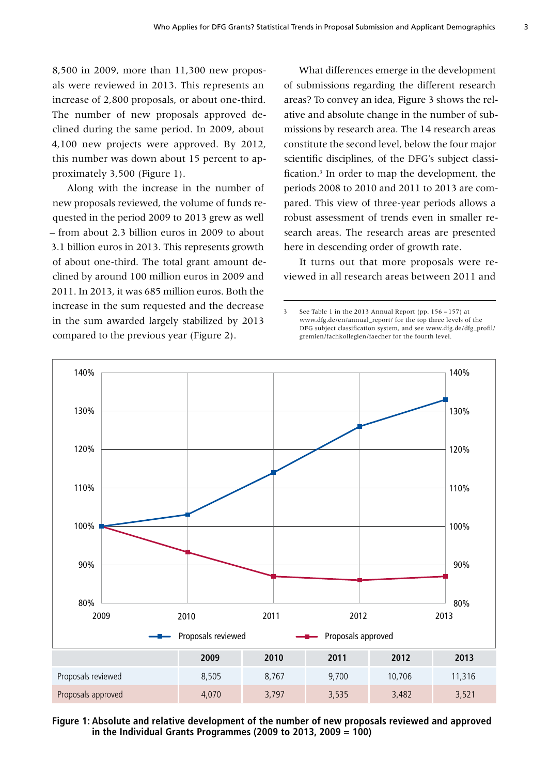8,500 in 2009, more than 11,300 new proposals were reviewed in 2013. This represents an increase of 2,800 proposals, or about one-third. The number of new proposals approved declined during the same period. In 2009, about 4,100 new projects were approved. By 2012, this number was down about 15 percent to approximately 3,500 (Figure 1).

Along with the increase in the number of new proposals reviewed, the volume of funds requested in the period 2009 to 2013 grew as well – from about 2.3 billion euros in 2009 to about 3.1 billion euros in 2013. This represents growth of about one-third. The total grant amount declined by around 100 million euros in 2009 and 2011. In 2013, it was 685 million euros. Both the increase in the sum requested and the decrease in the sum awarded largely stabilized by 2013 compared to the previous year (Figure 2).

What differences emerge in the development of submissions regarding the different research areas? To convey an idea, Figure 3 shows the relative and absolute change in the number of submissions by research area. The 14 research areas constitute the second level, below the four major scientific disciplines, of the DFG's subject classification.<sup>3</sup> In order to map the development, the periods 2008 to 2010 and 2011 to 2013 are compared. This view of three-year periods allows a robust assessment of trends even in smaller research areas. The research areas are presented here in descending order of growth rate.

It turns out that more proposals were reviewed in all research areas between 2011 and

<sup>3</sup> See Table 1 in the 2013 Annual Report (pp. 156 – 157) at www.dfg.de/en/annual\_report/ for the top three levels of the DFG subject classification system, and see [www.dfg.de/dfg\\_profil/](http://www.dfg.de/dfg_profil/gremien/fachkollegien/faecher) [gremien/fachkollegien/faecher](http://www.dfg.de/dfg_profil/gremien/fachkollegien/faecher) for the fourth level.



**Figure 1: Absolute and relative development of the number of new proposals reviewed and approved in the Individual Grants Programmes (2009 to 2013, 2009 = 100)**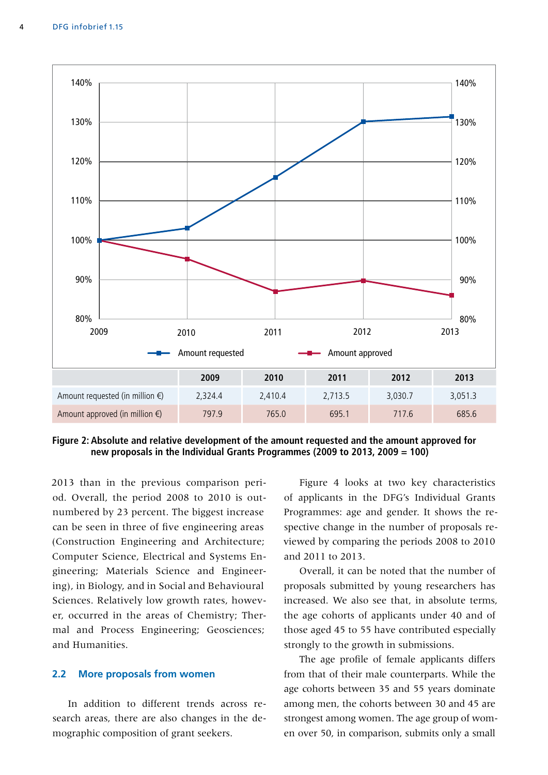

**Figure 2: Absolute and relative development of the amount requested and the amount approved for new proposals in the Individual Grants Programmes (2009 to 2013, 2009 = 100)** 

2013 than in the previous comparison period. Overall, the period 2008 to 2010 is outnumbered by 23 percent. The biggest increase can be seen in three of five engineering areas (Construction Engineering and Architecture; Computer Science, Electrical and Systems Engineering; Materials Science and Engineering), in Biology, and in Social and Behavioural Sciences. Relatively low growth rates, however, occurred in the areas of Chemistry; Thermal and Process Engineering; Geosciences; and Humanities.

#### **2.2 More proposals from women**

In addition to different trends across research areas, there are also changes in the demographic composition of grant seekers.

Figure 4 looks at two key characteristics of applicants in the DFG's Individual Grants Programmes: age and gender. It shows the respective change in the number of proposals reviewed by comparing the periods 2008 to 2010 and 2011 to 2013.

Overall, it can be noted that the number of proposals submitted by young researchers has increased. We also see that, in absolute terms, the age cohorts of applicants under 40 and of those aged 45 to 55 have contributed especially strongly to the growth in submissions.

The age profile of female applicants differs from that of their male counterparts. While the age cohorts between 35 and 55 years dominate among men, the cohorts between 30 and 45 are strongest among women. The age group of women over 50, in comparison, submits only a small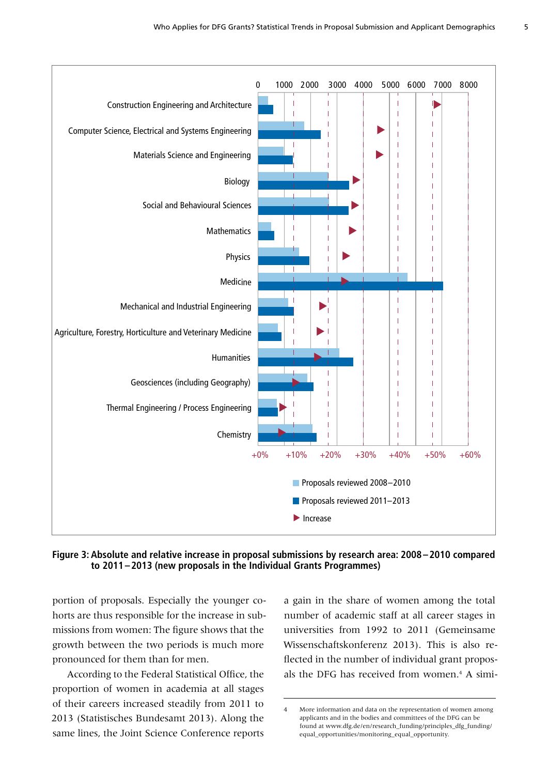

**Figure 3: Absolute and relative increase in proposal submissions by research area: 2008–2010 compared to 2011–2013 (new proposals in the Individual Grants Programmes)** 

portion of proposals. Especially the younger cohorts are thus responsible for the increase in submissions from women: The figure shows that the growth between the two periods is much more pronounced for them than for men.

According to the Federal Statistical Office, the proportion of women in academia at all stages of their careers increased steadily from 2011 to 2013 (Statistisches Bundesamt 2013). Along the same lines, the Joint Science Conference reports a gain in the share of women among the total number of academic staff at all career stages in universities from 1992 to 2011 (Gemeinsame Wissenschaftskonferenz 2013). This is also reflected in the number of individual grant proposals the DFG has received from women.<sup>4</sup> A simi-

<sup>4</sup> More information and data on the representation of women among applicants and in the bodies and committees of the DFG can be found at [www.dfg.de/en/research\\_funding/principles\\_dfg\\_funding/](http://www.dfg.de/en/research_funding/principles_dfg_funding/equal_opportunities/monitoring_equal_opportunity) [equal\\_opportunities/monitoring\\_equal\\_opportunity](http://www.dfg.de/en/research_funding/principles_dfg_funding/equal_opportunities/monitoring_equal_opportunity).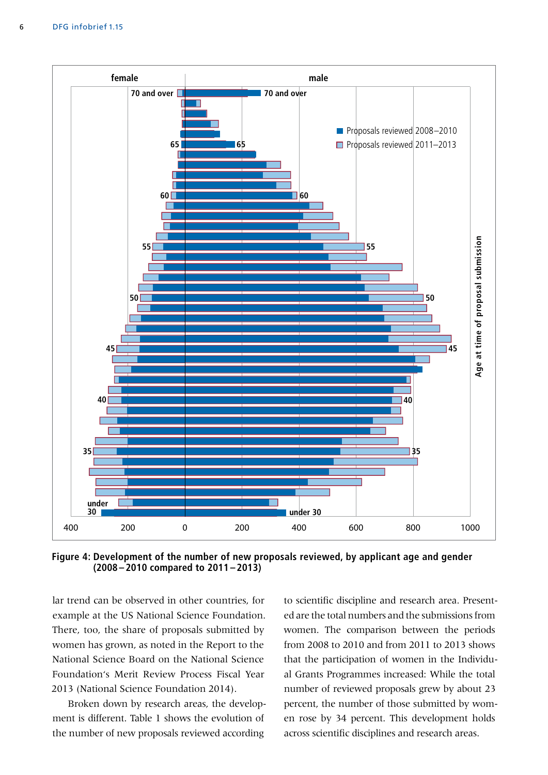

**Figure 4: Development of the number of new proposals reviewed, by applicant age and gender (2008 – 2010 compared to 2011 – 2013)** 

lar trend can be observed in other countries, for example at the US National Science Foundation. There, too, the share of proposals submitted by women has grown, as noted in the Report to the National Science Board on the National Science Foundation's Merit Review Process Fiscal Year 2013 (National Science Foundation 2014).

Broken down by research areas, the development is different. Table 1 shows the evolution of the number of new proposals reviewed according

to scientific discipline and research area. Presented are the total numbers and the submissions from women. The comparison between the periods from 2008 to 2010 and from 2011 to 2013 shows that the participation of women in the Individual Grants Programmes increased: While the total number of reviewed proposals grew by about 23 percent, the number of those submitted by women rose by 34 percent. This development holds across scientific disciplines and research areas.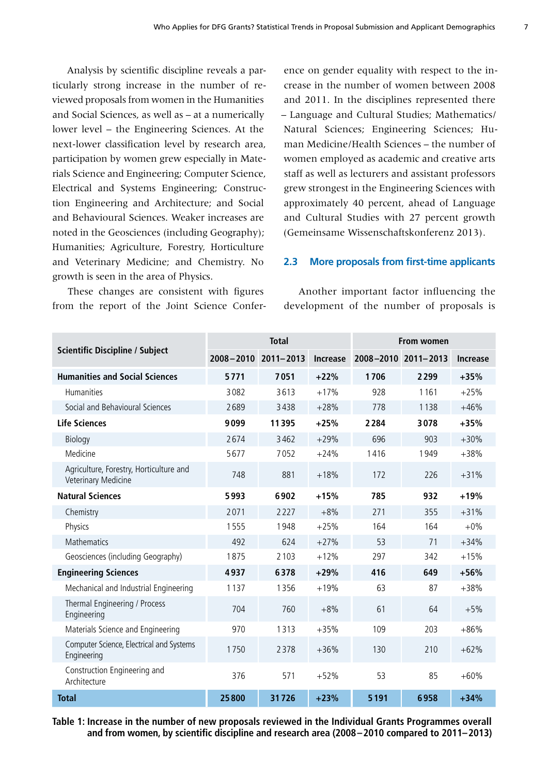Analysis by scientific discipline reveals a particularly strong increase in the number of reviewed proposals from women in the Humanities and Social Sciences, as well as – at a numerically lower level – the Engineering Sciences. At the next-lower classification level by research area, participation by women grew especially in Materials Science and Engineering; Computer Science, Electrical and Systems Engineering; Construction Engineering and Architecture; and Social and Behavioural Sciences. Weaker increases are noted in the Geosciences (including Geography); Humanities; Agriculture, Forestry, Horticulture and Veterinary Medicine; and Chemistry. No growth is seen in the area of Physics.

These changes are consistent with figures from the report of the Joint Science Confer-

ence on gender equality with respect to the increase in the number of women between 2008 and 2011. In the disciplines represented there – Language and Cultural Studies; Mathematics/ Natural Sciences; Engineering Sciences; Human Medicine/Health Sciences – the number of women employed as academic and creative arts staff as well as lecturers and assistant professors grew strongest in the Engineering Sciences with approximately 40 percent, ahead of Language and Cultural Studies with 27 percent growth (Gemeinsame Wissenschaftskonferenz 2013).

#### **2.3 More proposals from first-time applicants**

Another important factor influencing the development of the number of proposals is

| <b>Scientific Discipline / Subject</b>                         | <b>Total</b> |                     |          | From women          |      |                 |
|----------------------------------------------------------------|--------------|---------------------|----------|---------------------|------|-----------------|
|                                                                |              | 2008-2010 2011-2013 | Increase | 2008-2010 2011-2013 |      | <b>Increase</b> |
| <b>Humanities and Social Sciences</b>                          | 5771         | 7051                | $+22%$   | 1706                | 2299 | $+35%$          |
| <b>Humanities</b>                                              | 3082         | 3613                | $+17%$   | 928                 | 1161 | $+25%$          |
| Social and Behavioural Sciences                                | 2689         | 3438                | $+28%$   | 778                 | 1138 | $+46%$          |
| <b>Life Sciences</b>                                           | 9099         | 11395               | $+25%$   | 2284                | 3078 | $+35%$          |
| Biology                                                        | 2674         | 3462                | $+29%$   | 696                 | 903  | $+30%$          |
| Medicine                                                       | 5677         | 7052                | $+24%$   | 1416                | 1949 | $+38%$          |
| Agriculture, Forestry, Horticulture and<br>Veterinary Medicine | 748          | 881                 | $+18%$   | 172                 | 226  | $+31%$          |
| <b>Natural Sciences</b>                                        | 5993         | 6902                | $+15%$   | 785                 | 932  | $+19%$          |
| Chemistry                                                      | 2071         | 2227                | $+8%$    | 271                 | 355  | $+31%$          |
| Physics                                                        | 1555         | 1948                | $+25%$   | 164                 | 164  | $+0\%$          |
| Mathematics                                                    | 492          | 624                 | $+27%$   | 53                  | 71   | $+34%$          |
| Geosciences (including Geography)                              | 1875         | 2 1 0 3             | $+12%$   | 297                 | 342  | $+15%$          |
| <b>Engineering Sciences</b>                                    | 4937         | 6378                | $+29%$   | 416                 | 649  | $+56%$          |
| Mechanical and Industrial Engineering                          | 1137         | 1356                | $+19%$   | 63                  | 87   | $+38%$          |
| Thermal Engineering / Process<br>Engineering                   | 704          | 760                 | $+8%$    | 61                  | 64   | $+5%$           |
| Materials Science and Engineering                              | 970          | 1313                | $+35%$   | 109                 | 203  | $+86%$          |
| Computer Science, Electrical and Systems<br>Engineering        | 1750         | 2378                | $+36%$   | 130                 | 210  | $+62%$          |
| Construction Engineering and<br>Architecture                   | 376          | 571                 | $+52%$   | 53                  | 85   | $+60%$          |
| <b>Total</b>                                                   | 25800        | 31726               | $+23%$   | 5191                | 6958 | $+34%$          |

**Table 1: Increase in the number of new proposals reviewed in the Individual Grants Programmes overall and from women, by scientific discipline and research area (2008–2010 compared to 2011–2013)**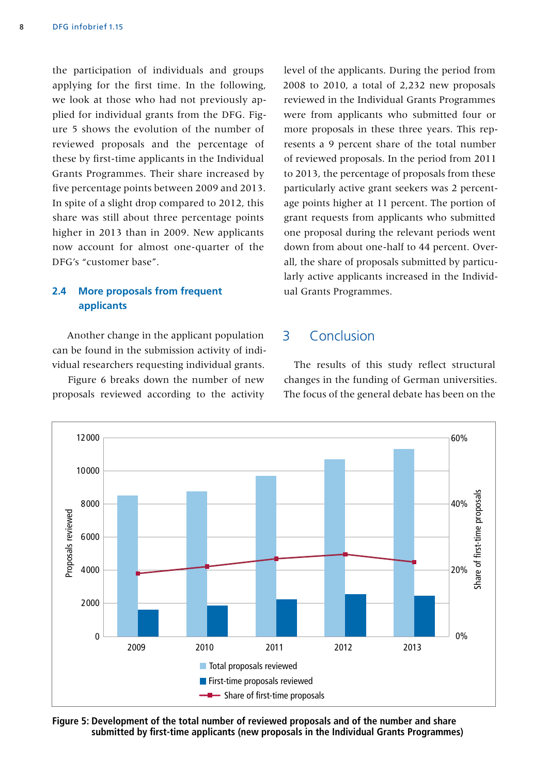the participation of individuals and groups applying for the first time. In the following, we look at those who had not previously applied for individual grants from the DFG. Figure 5 shows the evolution of the number of reviewed proposals and the percentage of these by first-time applicants in the Individual Grants Programmes. Their share increased by five percentage points between 2009 and 2013. In spite of a slight drop compared to 2012, this share was still about three percentage points higher in 2013 than in 2009. New applicants now account for almost one-quarter of the DFG's "customer base".

### **2.4 More proposals from frequent applicants**

Another change in the applicant population can be found in the submission activity of individual researchers requesting individual grants.

Figure 6 breaks down the number of new proposals reviewed according to the activity level of the applicants. During the period from 2008 to 2010, a total of 2,232 new proposals reviewed in the Individual Grants Programmes were from applicants who submitted four or more proposals in these three years. This represents a 9 percent share of the total number of reviewed proposals. In the period from 2011 to 2013, the percentage of proposals from these particularly active grant seekers was 2 percentage points higher at 11 percent. The portion of grant requests from applicants who submitted one proposal during the relevant periods went down from about one-half to 44 percent. Overall, the share of proposals submitted by particularly active applicants increased in the Individual Grants Programmes.

# 3 Conclusion

The results of this study reflect structural changes in the funding of German universities. The focus of the general debate has been on the



**Figure 5: Development of the total number of reviewed proposals and of the number and share submitted by first-time applicants (new proposals in the Individual Grants Programmes)**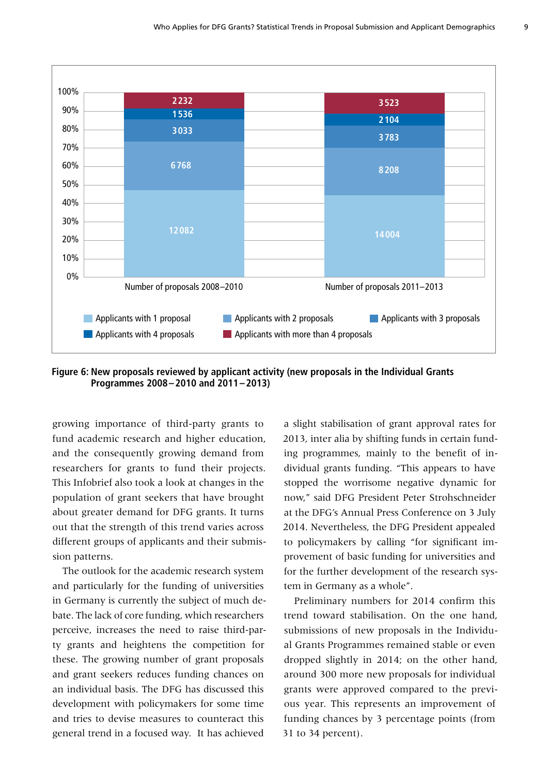

**Figure 6: New proposals reviewed by applicant activity (new proposals in the Individual Grants Programmes 2008–2010 and 2011–2013)** 

growing importance of third-party grants to fund academic research and higher education, and the consequently growing demand from researchers for grants to fund their projects. This Infobrief also took a look at changes in the population of grant seekers that have brought about greater demand for DFG grants. It turns out that the strength of this trend varies across different groups of applicants and their submission patterns.

The outlook for the academic research system and particularly for the funding of universities in Germany is currently the subject of much debate. The lack of core funding, which researchers perceive, increases the need to raise third-party grants and heightens the competition for these. The growing number of grant proposals and grant seekers reduces funding chances on an individual basis. The DFG has discussed this development with policymakers for some time and tries to devise measures to counteract this general trend in a focused way. It has achieved

a slight stabilisation of grant approval rates for 2013, inter alia by shifting funds in certain funding programmes, mainly to the benefit of individual grants funding. "This appears to have stopped the worrisome negative dynamic for now," said DFG President Peter Strohschneider at the DFG's Annual Press Conference on 3 July 2014. Nevertheless, the DFG President appealed to policymakers by calling "for significant improvement of basic funding for universities and for the further development of the research system in Germany as a whole".

Preliminary numbers for 2014 confirm this trend toward stabilisation. On the one hand, submissions of new proposals in the Individual Grants Programmes remained stable or even dropped slightly in 2014; on the other hand, around 300 more new proposals for individual grants were approved compared to the previous year. This represents an improvement of funding chances by 3 percentage points (from 31 to 34 percent).